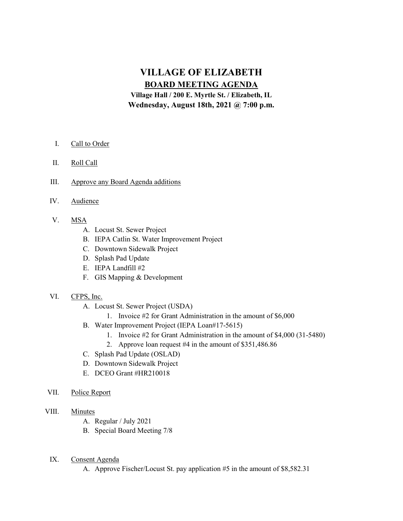# VILLAGE OF ELIZABETH BOARD MEETING AGENDA

Village Hall / 200 E. Myrtle St. / Elizabeth, IL Wednesday, August 18th, 2021 @ 7:00 p.m.

- I. Call to Order
- II. Roll Call
- III. Approve any Board Agenda additions
- IV. Audience
- V. MSA
	- A. Locust St. Sewer Project
	- B. IEPA Catlin St. Water Improvement Project
	- C. Downtown Sidewalk Project
	- D. Splash Pad Update
	- E. IEPA Landfill #2
	- F. GIS Mapping & Development

### VI. CFPS, Inc.

- A. Locust St. Sewer Project (USDA)
	- 1. Invoice #2 for Grant Administration in the amount of \$6,000
- B. Water Improvement Project (IEPA Loan#17-5615)
	- 1. Invoice #2 for Grant Administration in the amount of \$4,000 (31-5480)
	- 2. Approve loan request #4 in the amount of \$351,486.86
- C. Splash Pad Update (OSLAD)
- D. Downtown Sidewalk Project
- E. DCEO Grant #HR210018
- VII. Police Report
- VIII. Minutes
	- A. Regular / July 2021
	- B. Special Board Meeting 7/8
	- IX. Consent Agenda

A. Approve Fischer/Locust St. pay application #5 in the amount of \$8,582.31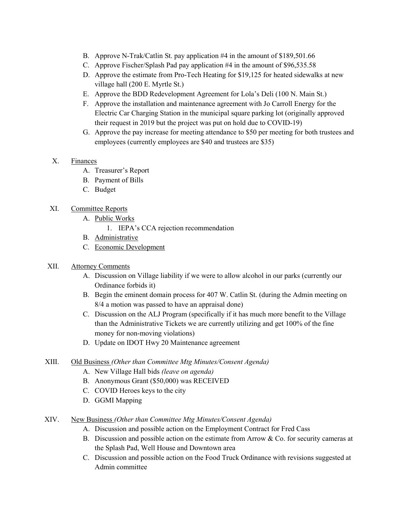- B. Approve N-Trak/Catlin St. pay application #4 in the amount of \$189,501.66
- C. Approve Fischer/Splash Pad pay application #4 in the amount of \$96,535.58
- D. Approve the estimate from Pro-Tech Heating for \$19,125 for heated sidewalks at new village hall (200 E. Myrtle St.)
- E. Approve the BDD Redevelopment Agreement for Lola's Deli (100 N. Main St.)
- F. Approve the installation and maintenance agreement with Jo Carroll Energy for the Electric Car Charging Station in the municipal square parking lot (originally approved their request in 2019 but the project was put on hold due to COVID-19)
- G. Approve the pay increase for meeting attendance to \$50 per meeting for both trustees and employees (currently employees are \$40 and trustees are \$35)
- X. Finances
	- A. Treasurer's Report
	- B. Payment of Bills
	- C. Budget

## XI. Committee Reports

- A. Public Works
	- 1. IEPA's CCA rejection recommendation
- B. Administrative
- C. Economic Development

## XII. Attorney Comments

- A. Discussion on Village liability if we were to allow alcohol in our parks (currently our Ordinance forbids it)
- B. Begin the eminent domain process for 407 W. Catlin St. (during the Admin meeting on 8/4 a motion was passed to have an appraisal done)
- C. Discussion on the ALJ Program (specifically if it has much more benefit to the Village than the Administrative Tickets we are currently utilizing and get 100% of the fine money for non-moving violations)
- D. Update on IDOT Hwy 20 Maintenance agreement

## XIII. Old Business (Other than Committee Mtg Minutes/Consent Agenda)

- A. New Village Hall bids (leave on agenda)
- B. Anonymous Grant (\$50,000) was RECEIVED
- C. COVID Heroes keys to the city
- D. GGMI Mapping

## XIV. New Business (Other than Committee Mtg Minutes/Consent Agenda)

- A. Discussion and possible action on the Employment Contract for Fred Cass
- B. Discussion and possible action on the estimate from Arrow & Co. for security cameras at the Splash Pad, Well House and Downtown area
- C. Discussion and possible action on the Food Truck Ordinance with revisions suggested at Admin committee